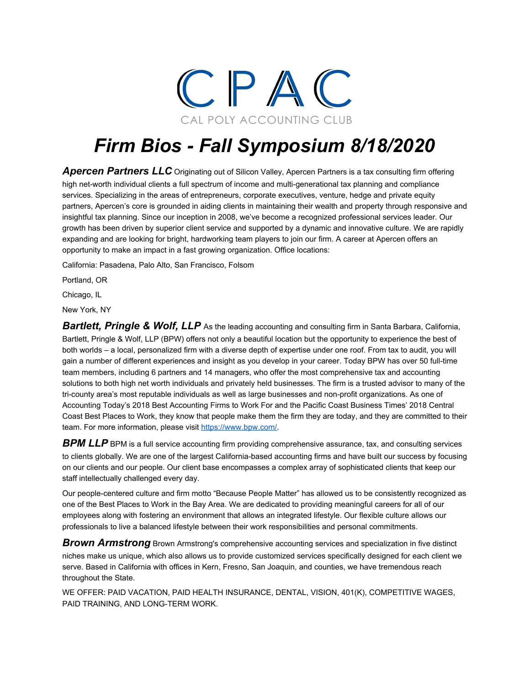

## *Firm Bios - Fall Symposium 8/18/2020*

Apercen Partners LLC Originating out of Silicon Valley, Apercen Partners is a tax consulting firm offering high net-worth individual clients a full spectrum of income and multi-generational tax planning and compliance services. Specializing in the areas of entrepreneurs, corporate executives, venture, hedge and private equity partners, Apercen's core is grounded in aiding clients in maintaining their wealth and property through responsive and insightful tax planning. Since our inception in 2008, we've become a recognized professional services leader. Our growth has been driven by superior client service and supported by a dynamic and innovative culture. We are rapidly expanding and are looking for bright, hardworking team players to join our firm. A career at Apercen offers an opportunity to make an impact in a fast growing organization. Office locations:

California: Pasadena, Palo Alto, San Francisco, Folsom

Portland, OR

Chicago, IL

New York, NY

*Bartlett, Pringle & Wolf, LLP* As the leading accounting and consulting firm in Santa Barbara, California, Bartlett, Pringle & Wolf, LLP (BPW) offers not only a beautiful location but the opportunity to experience the best of both worlds – a local, personalized firm with a diverse depth of expertise under one roof. From tax to audit, you will gain a number of different experiences and insight as you develop in your career. Today BPW has over 50 full-time team members, including 6 partners and 14 managers, who offer the most comprehensive tax and accounting solutions to both high net worth individuals and privately held businesses. The firm is a trusted advisor to many of the tri-county area's most reputable individuals as well as large businesses and non-profit organizations. As one of Accounting Today's 2018 Best Accounting Firms to Work For and the Pacific Coast Business Times' 2018 Central Coast Best Places to Work, they know that people make them the firm they are today, and they are committed to their team. For more information, please visit<https://www.bpw.com/>.

**BPM LLP** BPM is a full service accounting firm providing comprehensive assurance, tax, and consulting services to clients globally. We are one of the largest California-based accounting firms and have built our success by focusing on our clients and our people. Our client base encompasses a complex array of sophisticated clients that keep our staff intellectually challenged every day.

Our people-centered culture and firm motto "Because People Matter" has allowed us to be consistently recognized as one of the Best Places to Work in the Bay Area. We are dedicated to providing meaningful careers for all of our employees along with fostering an environment that allows an integrated lifestyle. Our flexible culture allows our professionals to live a balanced lifestyle between their work responsibilities and personal commitments.

*Brown Armstrong* Brown Armstrong's comprehensive accounting services and specialization in five distinct niches make us unique, which also allows us to provide customized services specifically designed for each client we serve. Based in California with offices in Kern, Fresno, San Joaquin, and counties, we have tremendous reach throughout the State.

WE OFFER: PAID VACATION, PAID HEALTH INSURANCE, DENTAL, VISION, 401(K), COMPETITIVE WAGES, PAID TRAINING, AND LONG-TERM WORK.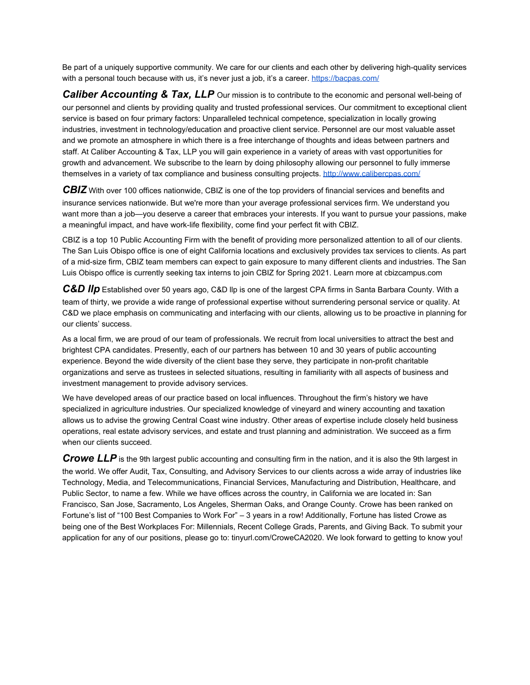Be part of a uniquely supportive community. We care for our clients and each other by delivering high-quality services with a personal touch because with us, it's never just a job, it's a career. <https://bacpas.com/>

**Caliber Accounting & Tax, LLP** Our mission is to contribute to the economic and personal well-being of our personnel and clients by providing quality and trusted professional services. Our commitment to exceptional client service is based on four primary factors: Unparalleled technical competence, specialization in locally growing industries, investment in technology/education and proactive client service. Personnel are our most valuable asset and we promote an atmosphere in which there is a free interchange of thoughts and ideas between partners and staff. At Caliber Accounting & Tax, LLP you will gain experience in a variety of areas with vast opportunities for growth and advancement. We subscribe to the learn by doing philosophy allowing our personnel to fully immerse themselves in a variety of tax compliance and business consulting projects. <http://www.calibercpas.com/>

*CBIZ* With over 100 offices nationwide, CBIZ is one of the top providers of financial services and benefits and insurance services nationwide. But we're more than your average professional services firm. We understand you want more than a job—you deserve a career that embraces your interests. If you want to pursue your passions, make a meaningful impact, and have work-life flexibility, come find your perfect fit with CBIZ.

CBIZ is a top 10 Public Accounting Firm with the benefit of providing more personalized attention to all of our clients. The San Luis Obispo office is one of eight California locations and exclusively provides tax services to clients. As part of a mid-size firm, CBIZ team members can expect to gain exposure to many different clients and industries. The San Luis Obispo office is currently seeking tax interns to join CBIZ for Spring 2021. Learn more at cbizcampus.com

*C&D llp* Established over 50 years ago, C&D llp is one of the largest CPA firms in Santa Barbara County. With a team of thirty, we provide a wide range of professional expertise without surrendering personal service or quality. At C&D we place emphasis on communicating and interfacing with our clients, allowing us to be proactive in planning for our clients' success.

As a local firm, we are proud of our team of professionals. We recruit from local universities to attract the best and brightest CPA candidates. Presently, each of our partners has between 10 and 30 years of public accounting experience. Beyond the wide diversity of the client base they serve, they participate in non-profit charitable organizations and serve as trustees in selected situations, resulting in familiarity with all aspects of business and investment management to provide advisory services.

We have developed areas of our practice based on local influences. Throughout the firm's history we have specialized in agriculture industries. Our specialized knowledge of vineyard and winery accounting and taxation allows us to advise the growing Central Coast wine industry. Other areas of expertise include closely held business operations, real estate advisory services, and estate and trust planning and administration. We succeed as a firm when our clients succeed.

*Crowe LLP* is the 9th largest public accounting and consulting firm in the nation, and it is also the 9th largest in the world. We offer Audit, Tax, Consulting, and Advisory Services to our clients across a wide array of industries like Technology, Media, and Telecommunications, Financial Services, Manufacturing and Distribution, Healthcare, and Public Sector, to name a few. While we have offices across the country, in California we are located in: San Francisco, San Jose, Sacramento, Los Angeles, Sherman Oaks, and Orange County. Crowe has been ranked on Fortune's list of "100 Best Companies to Work For" – 3 years in a row! Additionally, Fortune has listed Crowe as being one of the Best Workplaces For: Millennials, Recent College Grads, Parents, and Giving Back. To submit your application for any of our positions, please go to: tinyurl.com/CroweCA2020. We look forward to getting to know you!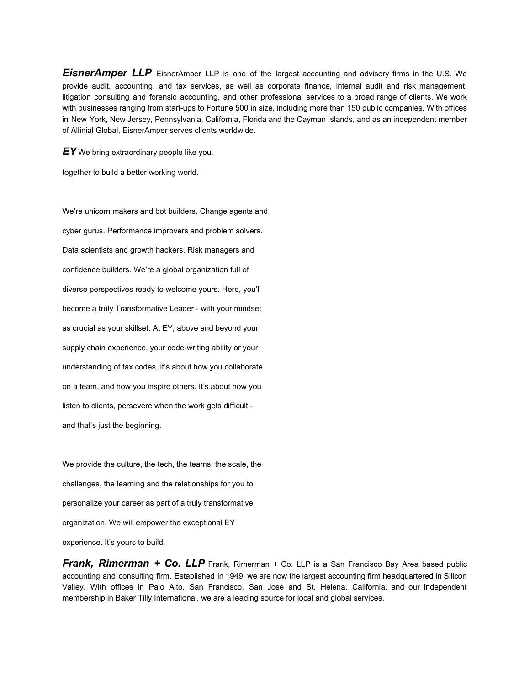*EisnerAmper LLP* EisnerAmper LLP is one of the largest accounting and advisory firms in the U.S. We provide audit, accounting, and tax services, as well as corporate finance, internal audit and risk management, litigation consulting and forensic accounting, and other professional services to a broad range of clients. We work with businesses ranging from start-ups to Fortune 500 in size, including more than 150 public companies. With offices in New York, New Jersey, Pennsylvania, California, Florida and the Cayman Islands, and as an independent member of Allinial Global, EisnerAmper serves clients worldwide.

*EY* We bring extraordinary people like you,

together to build a better working world.

We're unicorn makers and bot builders. Change agents and cyber gurus. Performance improvers and problem solvers. Data scientists and growth hackers. Risk managers and confidence builders. We're a global organization full of diverse perspectives ready to welcome yours. Here, you'll become a truly Transformative Leader - with your mindset as crucial as your skillset. At EY, above and beyond your supply chain experience, your code-writing ability or your understanding of tax codes, it's about how you collaborate on a team, and how you inspire others. It's about how you listen to clients, persevere when the work gets difficult and that's just the beginning.

We provide the culture, the tech, the teams, the scale, the challenges, the learning and the relationships for you to personalize your career as part of a truly transformative organization. We will empower the exceptional EY

experience. It's yours to build.

*Frank, Rimerman + Co. LLP* Frank, Rimerman + Co. LLP is a San Francisco Bay Area based public accounting and consulting firm. Established in 1949, we are now the largest accounting firm headquartered in Silicon Valley. With offices in Palo Alto, San Francisco, San Jose and St. Helena, California, and our independent membership in Baker Tilly International, we are a leading source for local and global services.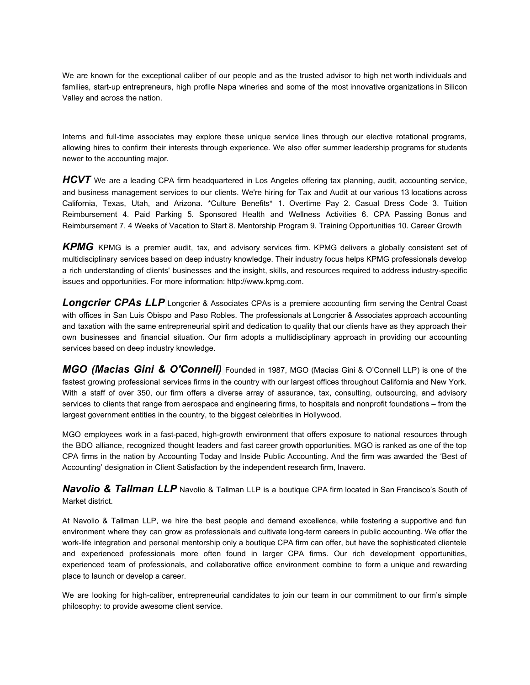We are known for the exceptional caliber of our people and as the trusted advisor to high net worth individuals and families, start-up entrepreneurs, high profile Napa wineries and some of the most innovative organizations in Silicon Valley and across the nation.

Interns and full-time associates may explore these unique service lines through our elective rotational programs, allowing hires to confirm their interests through experience. We also offer summer leadership programs for students newer to the accounting major.

*HCVT* We are a leading CPA firm headquartered in Los Angeles offering tax planning, audit, accounting service, and business management services to our clients. We're hiring for Tax and Audit at our various 13 locations across California, Texas, Utah, and Arizona. \*Culture Benefits\* 1. Overtime Pay 2. Casual Dress Code 3. Tuition Reimbursement 4. Paid Parking 5. Sponsored Health and Wellness Activities 6. CPA Passing Bonus and Reimbursement 7. 4 Weeks of Vacation to Start 8. Mentorship Program 9. Training Opportunities 10. Career Growth

*KPMG* KPMG is a premier audit, tax, and advisory services firm. KPMG delivers a globally consistent set of multidisciplinary services based on deep industry knowledge. Their industry focus helps KPMG professionals develop a rich understanding of clients' businesses and the insight, skills, and resources required to address industry-specific issues and opportunities. For more information: [http://www.kpmg.com.](http://www.kpmg.com/)

**Longcrier CPAs LLP** Longcrier & Associates CPAs is a premiere accounting firm serving the Central Coast with offices in San Luis Obispo and Paso Robles. The professionals at Longcrier & Associates approach accounting and taxation with the same entrepreneurial spirit and dedication to quality that our clients have as they approach their own businesses and financial situation. Our firm adopts a multidisciplinary approach in providing our accounting services based on deep industry knowledge.

*MGO (Macias Gini & O'Connell)* Founded in 1987, MGO (Macias Gini & O'Connell LLP) is one of the fastest growing professional services firms in the country with our largest offices throughout California and New York. With a staff of over 350, our firm offers a diverse array of assurance, tax, consulting, outsourcing, and advisory services to clients that range from aerospace and engineering firms, to hospitals and nonprofit foundations – from the largest government entities in the country, to the biggest celebrities in Hollywood.

MGO employees work in a fast-paced, high-growth environment that offers exposure to national resources through the BDO alliance, recognized thought leaders and fast career growth opportunities. MGO is ranked as one of the top CPA firms in the nation by Accounting Today and Inside Public Accounting. And the firm was awarded the 'Best of Accounting' designation in Client Satisfaction by the independent research firm, Inavero.

*Navolio & Tallman LLP* Navolio & Tallman LLP is a boutique CPA firm located in San Francisco's South of Market district.

At Navolio & Tallman LLP, we hire the best people and demand excellence, while fostering a supportive and fun environment where they can grow as professionals and cultivate long-term careers in public accounting. We offer the work-life integration and personal mentorship only a boutique CPA firm can offer, but have the sophisticated clientele and experienced professionals more often found in larger CPA firms. Our rich development opportunities, experienced team of professionals, and collaborative office environment combine to form a unique and rewarding place to launch or develop a career.

We are looking for high-caliber, entrepreneurial candidates to join our team in our commitment to our firm's simple philosophy: to provide awesome client service.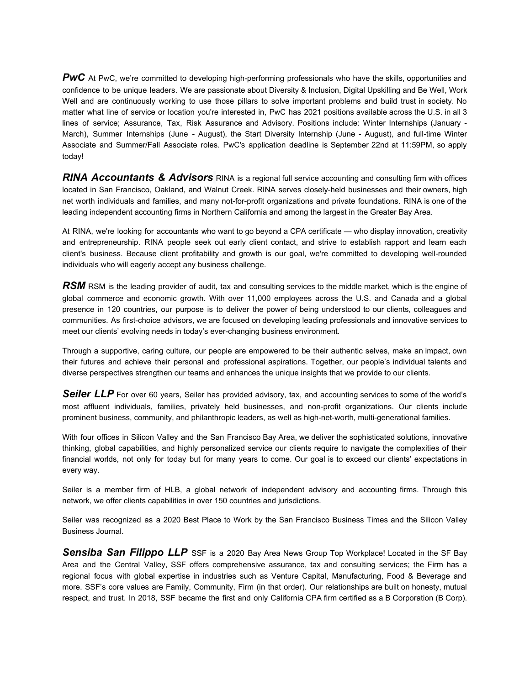**PWC** At PwC, we're committed to developing high-performing professionals who have the skills, opportunities and confidence to be unique leaders. We are passionate about Diversity & Inclusion, Digital Upskilling and Be Well, Work Well and are continuously working to use those pillars to solve important problems and build trust in society. No matter what line of service or location you're interested in, PwC has 2021 positions available across the U.S. in all 3 lines of service; Assurance, Tax, Risk Assurance and Advisory. Positions include: Winter Internships (January - March), Summer Internships (June - August), the Start Diversity Internship (June - August), and full-time Winter Associate and Summer/Fall Associate roles. PwC's application deadline is September 22nd at 11:59PM, so apply today!

*RINA Accountants & Advisors* RINA is a regional full service accounting and consulting firm with offices located in San Francisco, Oakland, and Walnut Creek. RINA serves closely-held businesses and their owners, high net worth individuals and families, and many not-for-profit organizations and private foundations. RINA is one of the leading independent accounting firms in Northern California and among the largest in the Greater Bay Area.

At RINA, we're looking for accountants who want to go beyond a CPA certificate — who display innovation, creativity and entrepreneurship. RINA people seek out early client contact, and strive to establish rapport and learn each client's business. Because client profitability and growth is our goal, we're committed to developing well-rounded individuals who will eagerly accept any business challenge.

*RSM* RSM is the leading provider of audit, tax and consulting services to the middle market, which is the engine of global commerce and economic growth. With over 11,000 employees across the U.S. and Canada and a global presence in 120 countries, our purpose is to deliver the power of being understood to our clients, colleagues and communities. As first-choice advisors, we are focused on developing leading professionals and innovative services to meet our clients' evolving needs in today's ever-changing business environment.

Through a supportive, caring culture, our people are empowered to be their authentic selves, make an impact, own their futures and achieve their personal and professional aspirations. Together, our people's individual talents and diverse perspectives strengthen our teams and enhances the unique insights that we provide to our clients.

**Seiler LLP** For over 60 years, Seiler has provided advisory, tax, and accounting services to some of the world's most affluent individuals, families, privately held businesses, and non-profit organizations. Our clients include prominent business, community, and philanthropic leaders, as well as high-net-worth, multi-generational families.

With four offices in Silicon Valley and the San Francisco Bay Area, we deliver the sophisticated solutions, innovative thinking, global capabilities, and highly personalized service our clients require to navigate the complexities of their financial worlds, not only for today but for many years to come. Our goal is to exceed our clients' expectations in every way.

Seiler is a member firm of HLB, a global network of independent advisory and accounting firms. Through this network, we offer clients capabilities in over 150 countries and jurisdictions.

Seiler was recognized as a 2020 Best Place to Work by the San Francisco Business Times and the Silicon Valley Business Journal.

*Sensiba San Filippo LLP* SSF is a 2020 Bay Area News Group Top Workplace! Located in the SF Bay Area and the Central Valley, SSF offers comprehensive assurance, tax and consulting services; the Firm has a regional focus with global expertise in industries such as Venture Capital, Manufacturing, Food & Beverage and more. SSF's core values are Family, Community, Firm (in that order). Our relationships are built on honesty, mutual respect, and trust. In 2018, SSF became the first and only California CPA firm certified as a B Corporation (B Corp).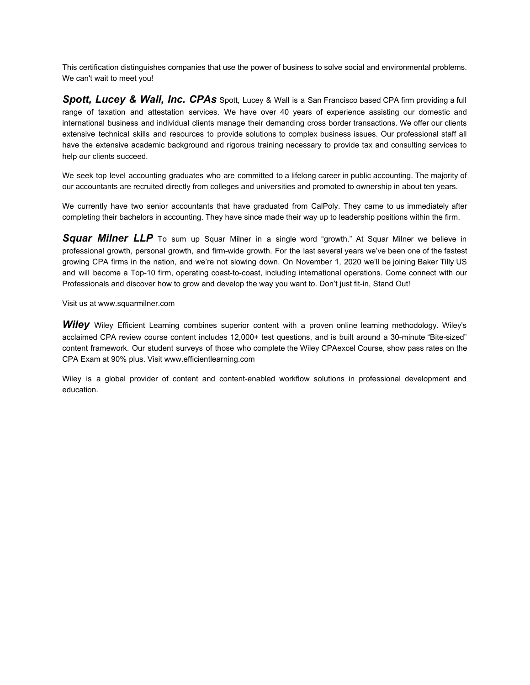This certification distinguishes companies that use the power of business to solve social and environmental problems. We can't wait to meet you!

*Spott, Lucey & Wall, Inc. CPAs* Spott, Lucey & Wall is a San Francisco based CPA firm providing a full range of taxation and attestation services. We have over 40 years of experience assisting our domestic and international business and individual clients manage their demanding cross border transactions. We offer our clients extensive technical skills and resources to provide solutions to complex business issues. Our professional staff all have the extensive academic background and rigorous training necessary to provide tax and consulting services to help our clients succeed.

We seek top level accounting graduates who are committed to a lifelong career in public accounting. The majority of our accountants are recruited directly from colleges and universities and promoted to ownership in about ten years.

We currently have two senior accountants that have graduated from CalPoly. They came to us immediately after completing their bachelors in accounting. They have since made their way up to leadership positions within the firm.

*Squar Milner LLP* To sum up Squar Milner in a single word "growth." At Squar Milner we believe in professional growth, personal growth, and firm-wide growth. For the last several years we've been one of the fastest growing CPA firms in the nation, and we're not slowing down. On November 1, 2020 we'll be joining Baker Tilly US and will become a Top-10 firm, operating coast-to-coast, including international operations. Come connect with our Professionals and discover how to grow and develop the way you want to. Don't just fit-in, Stand Out!

Visit us at www.squarmilner.com

**Wiley** Wiley Efficient Learning combines superior content with a proven online learning methodology. Wiley's acclaimed CPA review course content includes 12,000+ test questions, and is built around a 30-minute "Bite-sized" content framework. Our student surveys of those who complete the Wiley CPAexcel Course, show pass rates on the CPA Exam at 90% plus. Visit www.efficientlearning.com

Wiley is a global provider of content and content-enabled workflow solutions in professional development and education.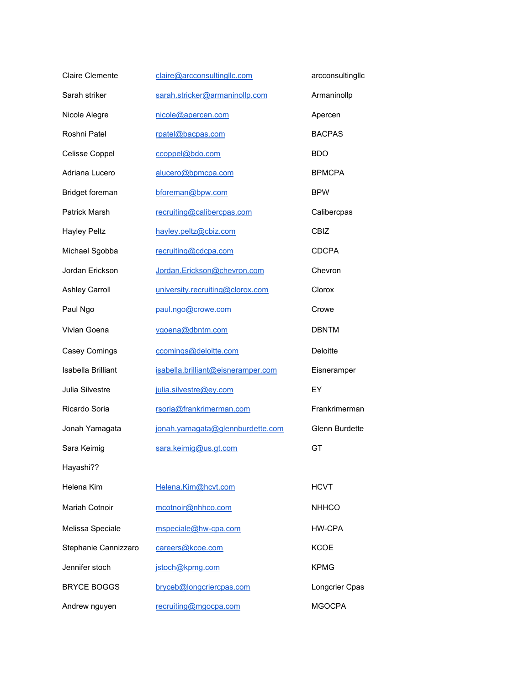| <b>Claire Clemente</b> | claire@arcconsultingllc.com        | arcconsultingllc      |
|------------------------|------------------------------------|-----------------------|
| Sarah striker          | sarah.stricker@armaninollp.com     | Armaninollp           |
| Nicole Alegre          | nicole@apercen.com                 | Apercen               |
| Roshni Patel           | rpatel@bacpas.com                  | <b>BACPAS</b>         |
| Celisse Coppel         | ccoppel@bdo.com                    | <b>BDO</b>            |
| Adriana Lucero         | alucero@bpmcpa.com                 | <b>BPMCPA</b>         |
| Bridget foreman        | bforeman@bpw.com                   | <b>BPW</b>            |
| <b>Patrick Marsh</b>   | recruiting@calibercpas.com         | Calibercpas           |
| <b>Hayley Peltz</b>    | hayley.peltz@cbiz.com              | CBIZ                  |
| Michael Sgobba         | recruiting@cdcpa.com               | <b>CDCPA</b>          |
| Jordan Erickson        | Jordan.Erickson@chevron.com        | Chevron               |
| <b>Ashley Carroll</b>  | university.recruiting@clorox.com   | Clorox                |
| Paul Ngo               | paul.ngo@crowe.com                 | Crowe                 |
| Vivian Goena           | vgoena@dbntm.com                   | <b>DBNTM</b>          |
| Casey Comings          | ccomings@deloitte.com              | Deloitte              |
| Isabella Brilliant     | isabella.brilliant@eisneramper.com | Eisneramper           |
| Julia Silvestre        | julia.silvestre@ey.com             | EY                    |
| Ricardo Soria          | rsoria@frankrimerman.com           | Frankrimerman         |
| Jonah Yamagata         | jonah.yamagata@glennburdette.com   | <b>Glenn Burdette</b> |
| Sara Keimig            | sara.keimig@us.gt.com              | GT                    |
| Hayashi??              |                                    |                       |
| Helena Kim             | Helena.Kim@hcvt.com                | <b>HCVT</b>           |
| <b>Mariah Cotnoir</b>  | mcotnoir@nhhco.com                 | <b>NHHCO</b>          |
| Melissa Speciale       | mspeciale@hw-cpa.com               | <b>HW-CPA</b>         |
| Stephanie Cannizzaro   | careers@kcoe.com                   | <b>KCOE</b>           |
| Jennifer stoch         | jstoch@kpmg.com                    | <b>KPMG</b>           |
| <b>BRYCE BOGGS</b>     | bryceb@longcriercpas.com           | Longcrier Cpas        |
| Andrew nguyen          | recruiting@mgocpa.com              | <b>MGOCPA</b>         |